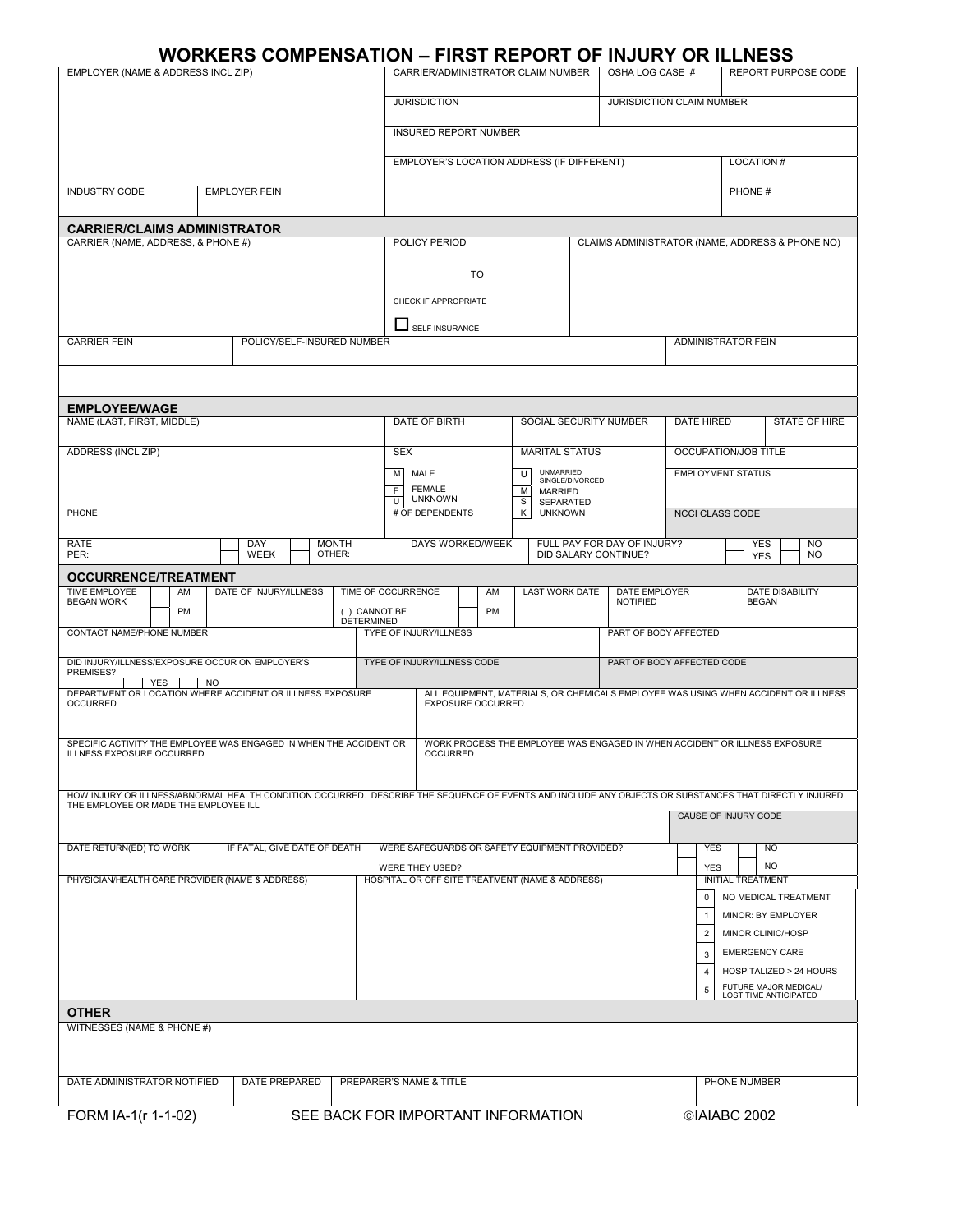## **WORKERS COMPENSATION – FIRST REPORT OF INJURY OR ILLNESS**

| EMPLOYER (NAME & ADDRESS INCL ZIP)                                                                                                                                                             |                                         |                    |            |                                        | .<br>CARRIER/ADMINISTRATOR CLAIM NUMBER         |        | ----                                  |                 | .<br>OSHA LOG CASE #                                                       |                        | ----                     |        | REPORT PURPOSE CODE                            |                        |  |
|------------------------------------------------------------------------------------------------------------------------------------------------------------------------------------------------|-----------------------------------------|--------------------|------------|----------------------------------------|-------------------------------------------------|--------|---------------------------------------|-----------------|----------------------------------------------------------------------------|------------------------|--------------------------|--------|------------------------------------------------|------------------------|--|
|                                                                                                                                                                                                |                                         |                    |            | <b>JURISDICTION</b>                    |                                                 |        |                                       |                 | JURISDICTION CLAIM NUMBER                                                  |                        |                          |        |                                                |                        |  |
|                                                                                                                                                                                                |                                         |                    |            |                                        |                                                 |        |                                       |                 |                                                                            |                        |                          |        |                                                |                        |  |
|                                                                                                                                                                                                |                                         |                    |            |                                        | <b>INSURED REPORT NUMBER</b>                    |        |                                       |                 |                                                                            |                        |                          |        |                                                |                        |  |
|                                                                                                                                                                                                |                                         |                    |            |                                        | EMPLOYER'S LOCATION ADDRESS (IF DIFFERENT)      |        |                                       |                 |                                                                            |                        |                          |        | <b>LOCATION#</b>                               |                        |  |
| <b>INDUSTRY CODE</b>                                                                                                                                                                           | <b>EMPLOYER FEIN</b>                    |                    |            |                                        |                                                 |        |                                       |                 |                                                                            |                        |                          | PHONE# |                                                |                        |  |
|                                                                                                                                                                                                |                                         |                    |            |                                        |                                                 |        |                                       |                 |                                                                            |                        |                          |        |                                                |                        |  |
| <b>CARRIER/CLAIMS ADMINISTRATOR</b><br>CARRIER (NAME, ADDRESS, & PHONE #)                                                                                                                      |                                         |                    |            | POLICY PERIOD                          |                                                 |        |                                       |                 | CLAIMS ADMINISTRATOR (NAME, ADDRESS & PHONE NO)                            |                        |                          |        |                                                |                        |  |
|                                                                                                                                                                                                |                                         |                    |            |                                        | TO                                              |        |                                       |                 |                                                                            |                        |                          |        |                                                |                        |  |
|                                                                                                                                                                                                |                                         |                    |            |                                        |                                                 |        |                                       |                 |                                                                            |                        |                          |        |                                                |                        |  |
|                                                                                                                                                                                                |                                         |                    |            | CHECK IF APPROPRIATE                   |                                                 |        |                                       |                 |                                                                            |                        |                          |        |                                                |                        |  |
| <b>CARRIER FEIN</b>                                                                                                                                                                            | POLICY/SELF-INSURED NUMBER              |                    |            | SELF INSURANCE                         |                                                 |        |                                       |                 | <b>ADMINISTRATOR FEIN</b>                                                  |                        |                          |        |                                                |                        |  |
|                                                                                                                                                                                                |                                         |                    |            |                                        |                                                 |        |                                       |                 |                                                                            |                        |                          |        |                                                |                        |  |
|                                                                                                                                                                                                |                                         |                    |            |                                        |                                                 |        |                                       |                 |                                                                            |                        |                          |        |                                                |                        |  |
| <b>EMPLOYEE/WAGE</b>                                                                                                                                                                           |                                         |                    |            |                                        |                                                 |        |                                       |                 |                                                                            |                        | <b>DATE HIRED</b>        |        |                                                |                        |  |
| NAME (LAST, FIRST, MIDDLE)                                                                                                                                                                     |                                         |                    |            | DATE OF BIRTH                          |                                                 |        | SOCIAL SECURITY NUMBER                |                 |                                                                            |                        |                          |        | <b>STATE OF HIRE</b>                           |                        |  |
| ADDRESS (INCL ZIP)                                                                                                                                                                             |                                         |                    | <b>SEX</b> |                                        |                                                 |        | <b>MARITAL STATUS</b>                 |                 |                                                                            |                        |                          |        | OCCUPATION/JOB TITLE                           |                        |  |
|                                                                                                                                                                                                |                                         |                    | M<br>F.    | MALE<br><b>FEMALE</b>                  |                                                 | U<br>М | <b>UNMARRIED</b><br><b>MARRIED</b>    | SINGLE/DIVORCED |                                                                            |                        | <b>EMPLOYMENT STATUS</b> |        |                                                |                        |  |
| <b>PHONE</b>                                                                                                                                                                                   |                                         |                    |            | <b>UNKNOWN</b><br>U<br># OF DEPENDENTS |                                                 |        | S<br>SEPARATED<br><b>UNKNOWN</b><br>K |                 |                                                                            | <b>NCCI CLASS CODE</b> |                          |        |                                                |                        |  |
|                                                                                                                                                                                                |                                         |                    |            |                                        |                                                 |        |                                       |                 |                                                                            |                        |                          |        |                                                |                        |  |
| <b>RATE</b><br>PER:                                                                                                                                                                            | DAY<br><b>MONTH</b><br>WEEK<br>OTHER:   |                    |            |                                        | DAYS WORKED/WEEK                                |        |                                       |                 | FULL PAY FOR DAY OF INJURY?<br>DID SALARY CONTINUE?                        |                        |                          |        | <b>YES</b><br><b>YES</b>                       | <b>NO</b><br><b>NO</b> |  |
| OCCURRENCE/TREATMENT<br>TIME EMPLOYEE<br>AM                                                                                                                                                    | DATE OF INJURY/ILLNESS                  | TIME OF OCCURRENCE |            |                                        | AM                                              |        | LAST WORK DATE                        |                 | DATE EMPLOYER                                                              |                        |                          |        | <b>DATE DISABILITY</b>                         |                        |  |
| <b>BEGAN WORK</b><br><b>PM</b>                                                                                                                                                                 |                                         | () CANNOT BE       |            |                                        | PM                                              |        |                                       |                 | NOTIFIED                                                                   |                        |                          |        | <b>BEGAN</b>                                   |                        |  |
| CONTACT NAME/PHONE NUMBER                                                                                                                                                                      |                                         | <b>DETERMINED</b>  |            | TYPE OF INJURY/ILLNESS                 |                                                 |        |                                       |                 | PART OF BODY AFFECTED                                                      |                        |                          |        |                                                |                        |  |
| DID INJURY/ILLNESS/EXPOSURE OCCUR ON EMPLOYER'S                                                                                                                                                |                                         |                    |            | TYPE OF INJURY/ILLNESS CODE            |                                                 |        |                                       |                 | PART OF BODY AFFECTED CODE                                                 |                        |                          |        |                                                |                        |  |
| PREMISES?<br>YES<br>NO                                                                                                                                                                         |                                         |                    |            |                                        |                                                 |        |                                       |                 |                                                                            |                        |                          |        |                                                |                        |  |
| DEPARTMENT OR LOCATION WHERE ACCIDENT OR ILLNESS EXPOSURE<br>ALL EQUIPMENT, MATERIALS, OR CHEMICALS EMPLOYEE WAS USING WHEN ACCIDENT OR ILLNESS<br><b>EXPOSURE OCCURRED</b><br><b>OCCURRED</b> |                                         |                    |            |                                        |                                                 |        |                                       |                 |                                                                            |                        |                          |        |                                                |                        |  |
|                                                                                                                                                                                                |                                         |                    |            |                                        |                                                 |        |                                       |                 |                                                                            |                        |                          |        |                                                |                        |  |
| SPECIFIC ACTIVITY THE EMPLOYEE WAS ENGAGED IN WHEN THE ACCIDENT OR<br>ILLNESS EXPOSURE OCCURRED                                                                                                |                                         |                    |            | <b>OCCURRED</b>                        |                                                 |        |                                       |                 | WORK PROCESS THE EMPLOYEE WAS ENGAGED IN WHEN ACCIDENT OR ILLNESS EXPOSURE |                        |                          |        |                                                |                        |  |
|                                                                                                                                                                                                |                                         |                    |            |                                        |                                                 |        |                                       |                 |                                                                            |                        |                          |        |                                                |                        |  |
| HOW INJURY OR ILLNESS/ABNORMAL HEALTH CONDITION OCCURRED. DESCRIBE THE SEQUENCE OF EVENTS AND INCLUDE ANY OBJECTS OR SUBSTANCES THAT DIRECTLY INJURED<br>THE EMPLOYEE OR MADE THE EMPLOYEE ILL |                                         |                    |            |                                        |                                                 |        |                                       |                 |                                                                            |                        |                          |        |                                                |                        |  |
|                                                                                                                                                                                                |                                         |                    |            |                                        |                                                 |        |                                       |                 |                                                                            |                        |                          |        | CAUSE OF INJURY CODE                           |                        |  |
| DATE RETURN(ED) TO WORK                                                                                                                                                                        | IF FATAL, GIVE DATE OF DEATH            |                    |            |                                        | WERE SAFEGUARDS OR SAFETY EQUIPMENT PROVIDED?   |        |                                       |                 |                                                                            |                        | <b>YES</b>               |        | <b>NO</b>                                      |                        |  |
| PHYSICIAN/HEALTH CARE PROVIDER (NAME & ADDRESS)                                                                                                                                                |                                         |                    |            | WERE THEY USED?                        | HOSPITAL OR OFF SITE TREATMENT (NAME & ADDRESS) |        |                                       |                 |                                                                            |                        | <b>YES</b>               |        | NO.<br><b>INITIAL TREATMENT</b>                |                        |  |
|                                                                                                                                                                                                |                                         |                    |            |                                        |                                                 |        |                                       |                 |                                                                            |                        | 0                        |        | NO MEDICAL TREATMENT                           |                        |  |
|                                                                                                                                                                                                |                                         |                    |            |                                        |                                                 |        |                                       |                 |                                                                            |                        | $\overline{1}$           |        | MINOR: BY EMPLOYER                             |                        |  |
|                                                                                                                                                                                                |                                         |                    |            |                                        |                                                 |        |                                       |                 |                                                                            |                        | $\overline{2}$           |        | MINOR CLINIC/HOSP                              |                        |  |
|                                                                                                                                                                                                |                                         |                    |            |                                        |                                                 |        |                                       |                 |                                                                            |                        | 3                        |        | <b>EMERGENCY CARE</b>                          |                        |  |
|                                                                                                                                                                                                |                                         |                    |            |                                        |                                                 |        |                                       |                 |                                                                            |                        | $\overline{4}$           |        | HOSPITALIZED > 24 HOURS                        |                        |  |
|                                                                                                                                                                                                |                                         |                    |            |                                        |                                                 |        |                                       |                 |                                                                            |                        | 5                        |        | FUTURE MAJOR MEDICAL/<br>LOST TIME ANTICIPATED |                        |  |
| <b>OTHER</b><br>WITNESSES (NAME & PHONE #)                                                                                                                                                     |                                         |                    |            |                                        |                                                 |        |                                       |                 |                                                                            |                        |                          |        |                                                |                        |  |
|                                                                                                                                                                                                |                                         |                    |            |                                        |                                                 |        |                                       |                 |                                                                            |                        |                          |        |                                                |                        |  |
| DATE ADMINISTRATOR NOTIFIED                                                                                                                                                                    | <b>DATE PREPARED</b>                    |                    |            |                                        |                                                 |        |                                       |                 |                                                                            |                        |                          |        |                                                |                        |  |
|                                                                                                                                                                                                | PREPARER'S NAME & TITLE<br>PHONE NUMBER |                    |            |                                        |                                                 |        |                                       |                 |                                                                            |                        |                          |        |                                                |                        |  |
| SEE BACK FOR IMPORTANT INFORMATION<br>FORM IA-1(r 1-1-02)<br>©IAIABC 2002                                                                                                                      |                                         |                    |            |                                        |                                                 |        |                                       |                 |                                                                            |                        |                          |        |                                                |                        |  |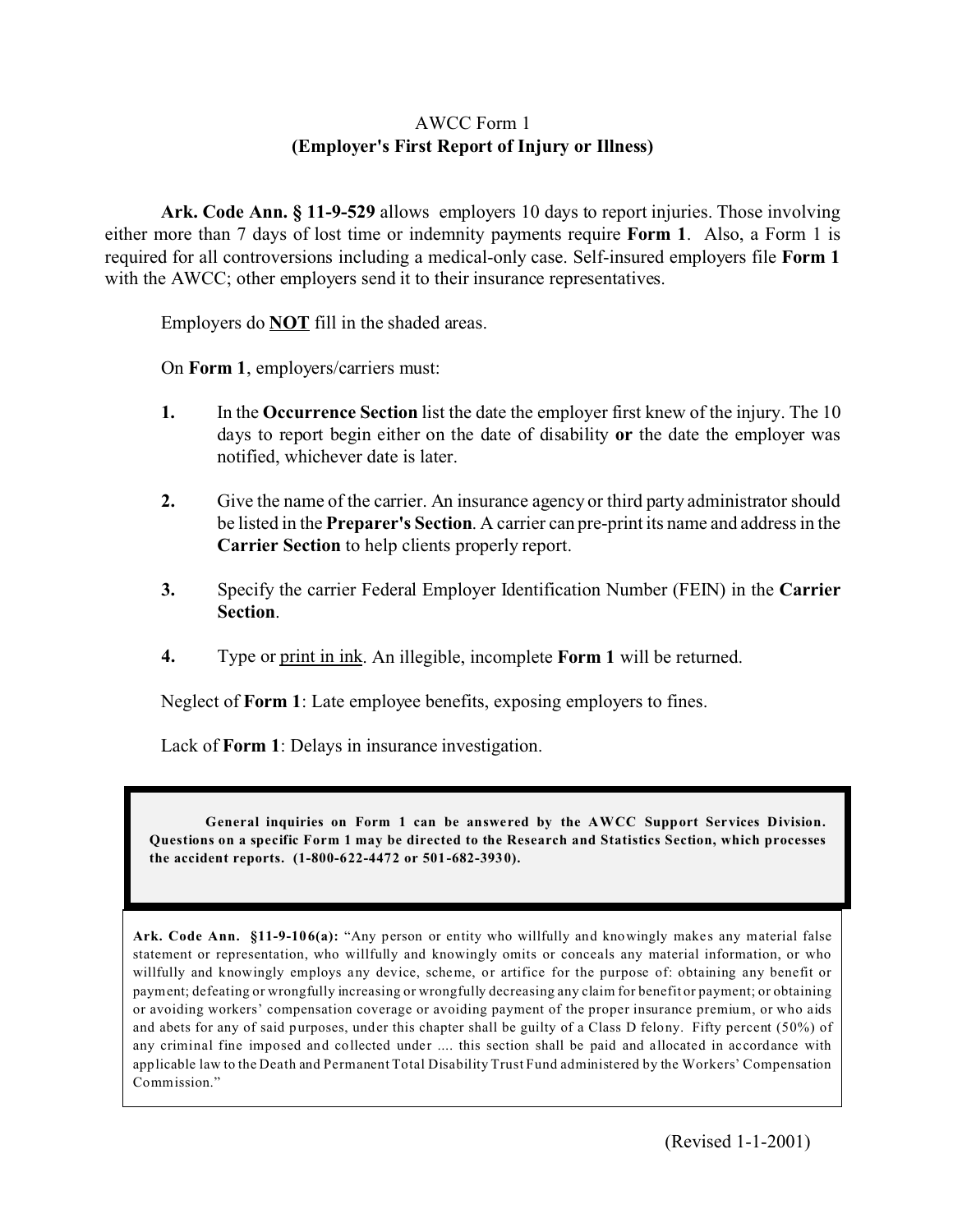## AWCC Form 1 **(Employer's First Report of Injury or Illness)**

**Ark. Code Ann. § 11-9-529** allows employers 10 days to report injuries. Those involving either more than 7 days of lost time or indemnity payments require **Form 1**. Also, a Form 1 is required for all controversions including a medical-only case. Self-insured employers file **Form 1** with the AWCC; other employers send it to their insurance representatives.

Employers do **NOT** fill in the shaded areas.

On **Form 1**, employers/carriers must:

- **1.** In the **Occurrence Section** list the date the employer first knew of the injury. The 10 days to report begin either on the date of disability **or** the date the employer was notified, whichever date is later.
- **2.** Give the name of the carrier. An insurance agency or third party administrator should be listed in the **Preparer's Section**. A carrier can pre-print its name and address in the **Carrier Section** to help clients properly report.
- **3.** Specify the carrier Federal Employer Identification Number (FEIN) in the **Carrier Section**.
- **4.** Type or print in ink. An illegible, incomplete **Form 1** will be returned.

Neglect of **Form 1**: Late employee benefits, exposing employers to fines.

Lack of **Form 1**: Delays in insurance investigation.

General inquiries on Form 1 can be answered by the AWCC Support Services Division. **Questions on a specific Form 1 may be directed to the Research and Statistics Section, which processes the accident reports. (1-800-622-4472 or 501-682-3930).**

Ark. Code Ann. §11-9-106(a): "Any person or entity who willfully and knowingly makes any material false statement or representation, who willfully and knowingly omits or conceals any material information, or who willfully and knowingly employs any device, scheme, or artifice for the purpose of: obtaining any benefit or payment; defeating or wrongfully increasing or wrongfully decreasing any claim for benefit or payment; or obtaining or avoiding workers' compensation coverage or avoiding payment of the proper insurance premium, or who aids and abets for any of said purposes, under this chapter shall be guilty of a Class D felony. Fifty percent (50%) of any criminal fine imposed and collected under .... this section shall be paid and allocated in accordance with applicable law to the Death and Permanent Total Disability Trust Fund administered by the Workers' Compensation Commission."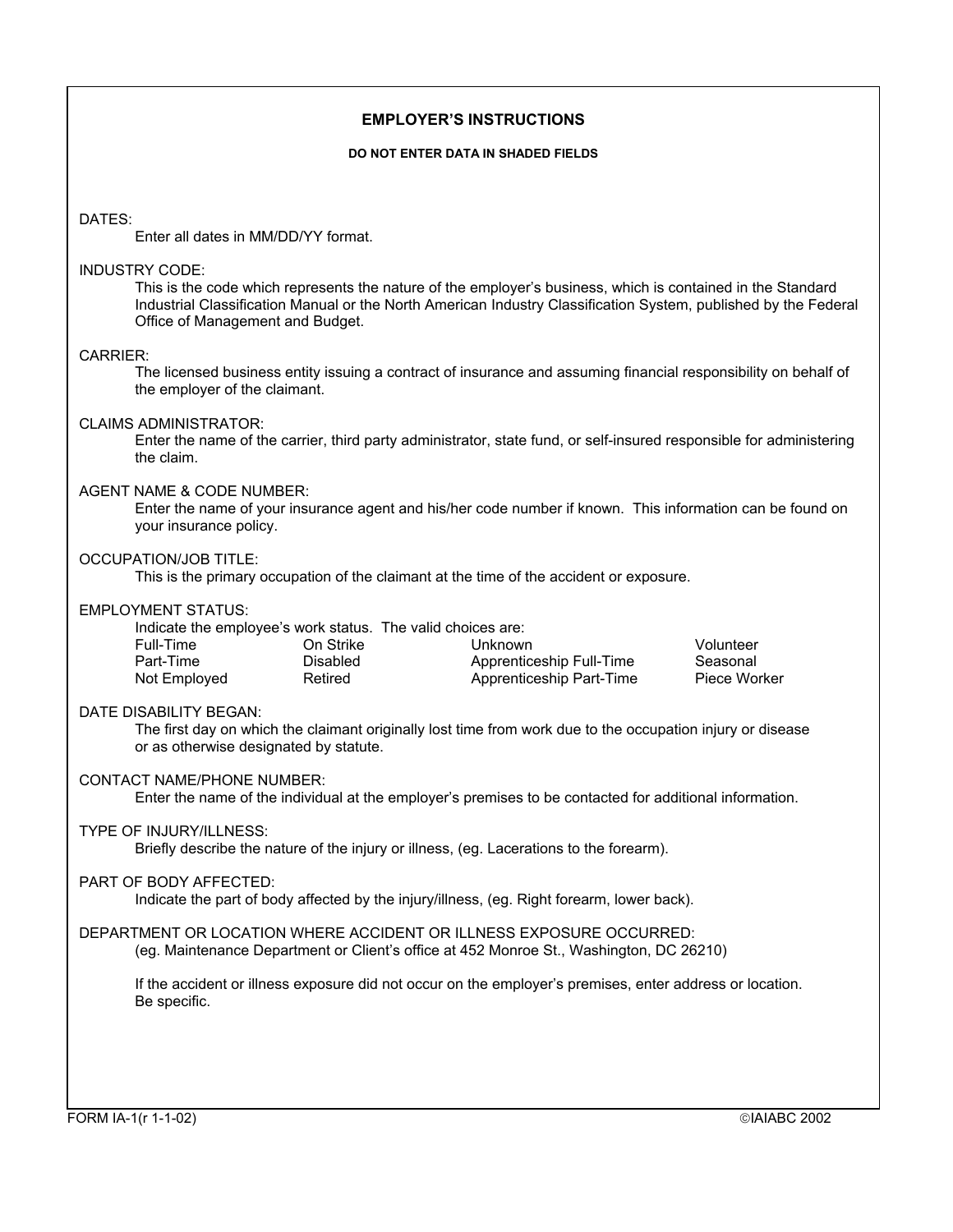### **EMPLOYER'S INSTRUCTIONS**

#### **DO NOT ENTER DATA IN SHADED FIELDS**

#### DATES:

Enter all dates in MM/DD/YY format.

#### INDUSTRY CODE:

This is the code which represents the nature of the employer's business, which is contained in the Standard Industrial Classification Manual or the North American Industry Classification System, published by the Federal Office of Management and Budget.

#### CARRIER:

The licensed business entity issuing a contract of insurance and assuming financial responsibility on behalf of the employer of the claimant.

#### CLAIMS ADMINISTRATOR:

Enter the name of the carrier, third party administrator, state fund, or self-insured responsible for administering the claim.

#### AGENT NAME & CODE NUMBER:

Enter the name of your insurance agent and his/her code number if known. This information can be found on your insurance policy.

#### OCCUPATION/JOB TITLE:

This is the primary occupation of the claimant at the time of the accident or exposure.

#### EMPLOYMENT STATUS:

|              |           | Indicate the employee's work status. The valid choices are: |              |
|--------------|-----------|-------------------------------------------------------------|--------------|
| Full-Time    | On Strike | Unknown                                                     | Volunteer    |
| Part-Time    | Disabled  | Apprenticeship Full-Time                                    | Seasonal     |
| Not Employed | Retired   | Apprenticeship Part-Time                                    | Piece Worker |

# DATE DISABILITY BEGAN:

The first day on which the claimant originally lost time from work due to the occupation injury or disease or as otherwise designated by statute.

### CONTACT NAME/PHONE NUMBER:

Enter the name of the individual at the employer's premises to be contacted for additional information.

#### TYPE OF INJURY/ILLNESS:

Briefly describe the nature of the injury or illness, (eg. Lacerations to the forearm).

#### PART OF BODY AFFECTED:

Indicate the part of body affected by the injury/illness, (eg. Right forearm, lower back).

# DEPARTMENT OR LOCATION WHERE ACCIDENT OR ILLNESS EXPOSURE OCCURRED:

(eg. Maintenance Department or Client's office at 452 Monroe St., Washington, DC 26210)

If the accident or illness exposure did not occur on the employer's premises, enter address or location. Be specific.